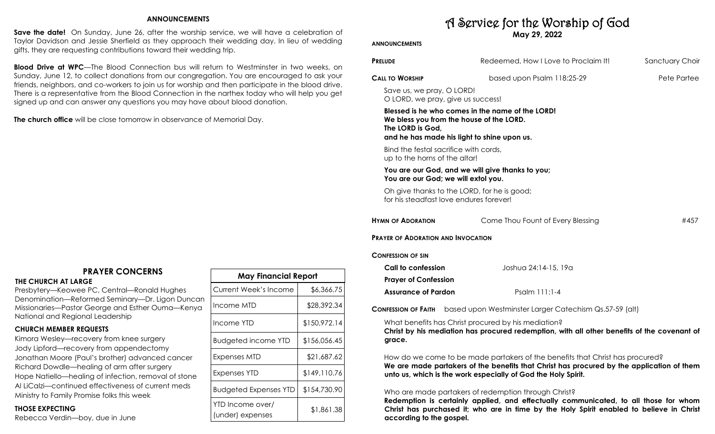### **ANNOUNCEMENTS**

**Save the date!** On Sunday, June 26, after the worship service, we will have a celebration of Taylor Davidson and Jessie Sherfield as they approach their wedding day. In lieu of wedding gifts, they are requesting contributions toward their wedding trip.

**Blood Drive at WPC**—The Blood Connection bus will return to Westminster in two weeks, on Sunday, June 12, to collect donations from our congregation. You are encouraged to ask your friends, neighbors, and co-workers to join us for worship and then participate in the blood drive. There is a representative from the Blood Connection in the narthex today who will help you get signed up and can answer any questions you may have about blood donation.

**The church office** will be close tomorrow in observance of Memorial Day.

# **PRAYER CONCERNS**

**THE CHURCH AT LARGE** 

Presbytery—Keowee PC, Central—Ronald Hughes Denomination—Reformed Seminary—Dr. Ligon Duncan Missionaries—Pastor George and Esther Ouma—Kenya National and Regional Leadership

### **CHURCH MEMBER REQUESTS**

Kimora Wesley—recovery from knee surgery Jody Lipford—recovery from appendectomy Jonathan Moore (Paul's brother) advanced cancer Richard Dowdle—healing of arm after surgery Hope Natiello—healing of infection, removal of stone Al LiCalzi—continued effectiveness of current meds Ministry to Family Promise folks this week

### **THOSE EXPECTING**

Rebecca Verdin—boy, due in June

| <b>May Financial Report</b>          |              |  |  |
|--------------------------------------|--------------|--|--|
| Current Week's Income                | \$6,366.75   |  |  |
| Income MTD                           | \$28,392.34  |  |  |
| Income YTD                           | \$150,972.14 |  |  |
| <b>Budgeted income YTD</b>           | \$156,056.45 |  |  |
| Expenses MTD                         | \$21,687.62  |  |  |
| Expenses YTD                         | \$149,110.76 |  |  |
| <b>Budgeted Expenses YTD</b>         | \$154,730.90 |  |  |
| YTD Income over/<br>(under) expenses | \$1,861.38   |  |  |

# A Service for the Worship of God **May 29, 2022**

## **ANNOUNCEMENTS**

| <b>PRELUDE</b>                                                                                              | Redeemed, How I Love to Proclaim It!                                                                                                                                                                                                        | Sanctuary Choir |
|-------------------------------------------------------------------------------------------------------------|---------------------------------------------------------------------------------------------------------------------------------------------------------------------------------------------------------------------------------------------|-----------------|
| <b>CALL TO WORSHIP</b>                                                                                      | based upon Psalm 118:25-29                                                                                                                                                                                                                  | Pete Partee     |
| Save us, we pray, O LORD!<br>O LORD, we pray, give us success!                                              |                                                                                                                                                                                                                                             |                 |
| We bless you from the house of the LORD.<br>The LORD is God,<br>and he has made his light to shine upon us. | Blessed is he who comes in the name of the LORD!                                                                                                                                                                                            |                 |
| Bind the festal sacrifice with cords,<br>up to the horns of the altar!                                      |                                                                                                                                                                                                                                             |                 |
| You are our God; we will extol you.                                                                         | You are our God, and we will give thanks to you;                                                                                                                                                                                            |                 |
| Oh give thanks to the LORD, for he is good;<br>for his steadfast love endures forever!                      |                                                                                                                                                                                                                                             |                 |
| <b>HYMN OF ADORATION</b>                                                                                    | Come Thou Fount of Every Blessing                                                                                                                                                                                                           | #457            |
| <b>PRAYER OF ADORATION AND INVOCATION</b>                                                                   |                                                                                                                                                                                                                                             |                 |
| CONFESSION OF SIN                                                                                           |                                                                                                                                                                                                                                             |                 |
| Call to confession                                                                                          | Joshua 24:14-15, 19a                                                                                                                                                                                                                        |                 |
| <b>Prayer of Confession</b>                                                                                 |                                                                                                                                                                                                                                             |                 |
| <b>Assurance of Pardon</b>                                                                                  | Psalm 111:1-4                                                                                                                                                                                                                               |                 |
| <b>CONFESSION OF FAITH</b>                                                                                  | based upon Westminster Larger Catechism Qs.57-59 (alt)                                                                                                                                                                                      |                 |
| grace.                                                                                                      | What benefits has Christ procured by his mediation?<br>Christ by his mediation has procured redemption, with all other benefits of the covenant of                                                                                          |                 |
|                                                                                                             | How do we come to be made partakers of the benefits that Christ has procured?<br>We are made partakers of the benefits that Christ has procured by the application of them<br>unto us, which is the work especially of God the Holy Spirit. |                 |

### Who are made partakers of redemption through Christ?

**Redemption is certainly applied, and effectually communicated, to all those for whom Christ has purchased it; who are in time by the Holy Spirit enabled to believe in Christ according to the gospel.**